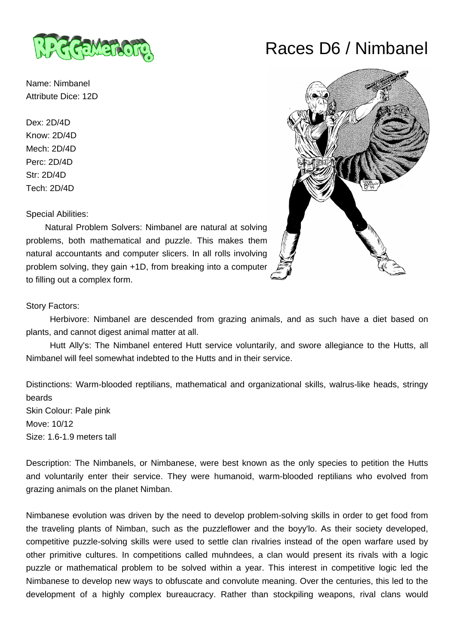

Name: Nimbanel Attribute Dice: 12D

Dex: 2D/4D Know: 2D/4D Mech: 2D/4D Perc: 2D/4D Str: 2D/4D Tech: 2D/4D

Special Abilities:

 Natural Problem Solvers: Nimbanel are natural at solving problems, both mathematical and puzzle. This makes them natural accountants and computer slicers. In all rolls involving problem solving, they gain +1D, from breaking into a computer to filling out a complex form.

## Story Factors:

 Herbivore: Nimbanel are descended from grazing animals, and as such have a diet based on plants, and cannot digest animal matter at all.

 Hutt Ally's: The Nimbanel entered Hutt service voluntarily, and swore allegiance to the Hutts, all Nimbanel will feel somewhat indebted to the Hutts and in their service.

Distinctions: Warm-blooded reptilians, mathematical and organizational skills, walrus-like heads, stringy beards Skin Colour: Pale pink Move: 10/12 Size: 1.6-1.9 meters tall

Description: The Nimbanels, or Nimbanese, were best known as the only species to petition the Hutts and voluntarily enter their service. They were humanoid, warm-blooded reptilians who evolved from grazing animals on the planet Nimban.

Nimbanese evolution was driven by the need to develop problem-solving skills in order to get food from the traveling plants of Nimban, such as the puzzleflower and the boyy'lo. As their society developed, competitive puzzle-solving skills were used to settle clan rivalries instead of the open warfare used by other primitive cultures. In competitions called muhndees, a clan would present its rivals with a logic puzzle or mathematical problem to be solved within a year. This interest in competitive logic led the Nimbanese to develop new ways to obfuscate and convolute meaning. Over the centuries, this led to the development of a highly complex bureaucracy. Rather than stockpiling weapons, rival clans would

## Races D6 / Nimbanel